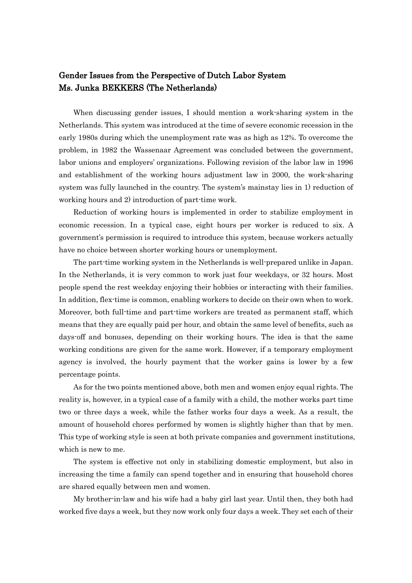## Gender Issues from the Perspective of Dutch Labor System Ms. Junka BEKKERS (The Netherlands)

When discussing gender issues, I should mention a work-sharing system in the Netherlands. This system was introduced at the time of severe economic recession in the early 1980s during which the unemployment rate was as high as 12%. To overcome the problem, in 1982 the Wassenaar Agreement was concluded between the government, labor unions and employers' organizations. Following revision of the labor law in 1996 and establishment of the working hours adjustment law in 2000, the work-sharing system was fully launched in the country. The system's mainstay lies in 1) reduction of working hours and 2) introduction of part-time work.

Reduction of working hours is implemented in order to stabilize employment in economic recession. In a typical case, eight hours per worker is reduced to six. A government's permission is required to introduce this system, because workers actually have no choice between shorter working hours or unemployment.

The part-time working system in the Netherlands is well-prepared unlike in Japan. In the Netherlands, it is very common to work just four weekdays, or 32 hours. Most people spend the rest weekday enjoying their hobbies or interacting with their families. In addition, flex-time is common, enabling workers to decide on their own when to work. Moreover, both full-time and part-time workers are treated as permanent staff, which means that they are equally paid per hour, and obtain the same level of benefits, such as days-off and bonuses, depending on their working hours. The idea is that the same working conditions are given for the same work. However, if a temporary employment agency is involved, the hourly payment that the worker gains is lower by a few percentage points.

As for the two points mentioned above, both men and women enjoy equal rights. The reality is, however, in a typical case of a family with a child, the mother works part time two or three days a week, while the father works four days a week. As a result, the amount of household chores performed by women is slightly higher than that by men. This type of working style is seen at both private companies and government institutions, which is new to me.

The system is effective not only in stabilizing domestic employment, but also in increasing the time a family can spend together and in ensuring that household chores are shared equally between men and women.

My brother-in-law and his wife had a baby girl last year. Until then, they both had worked five days a week, but they now work only four days a week. They set each of their